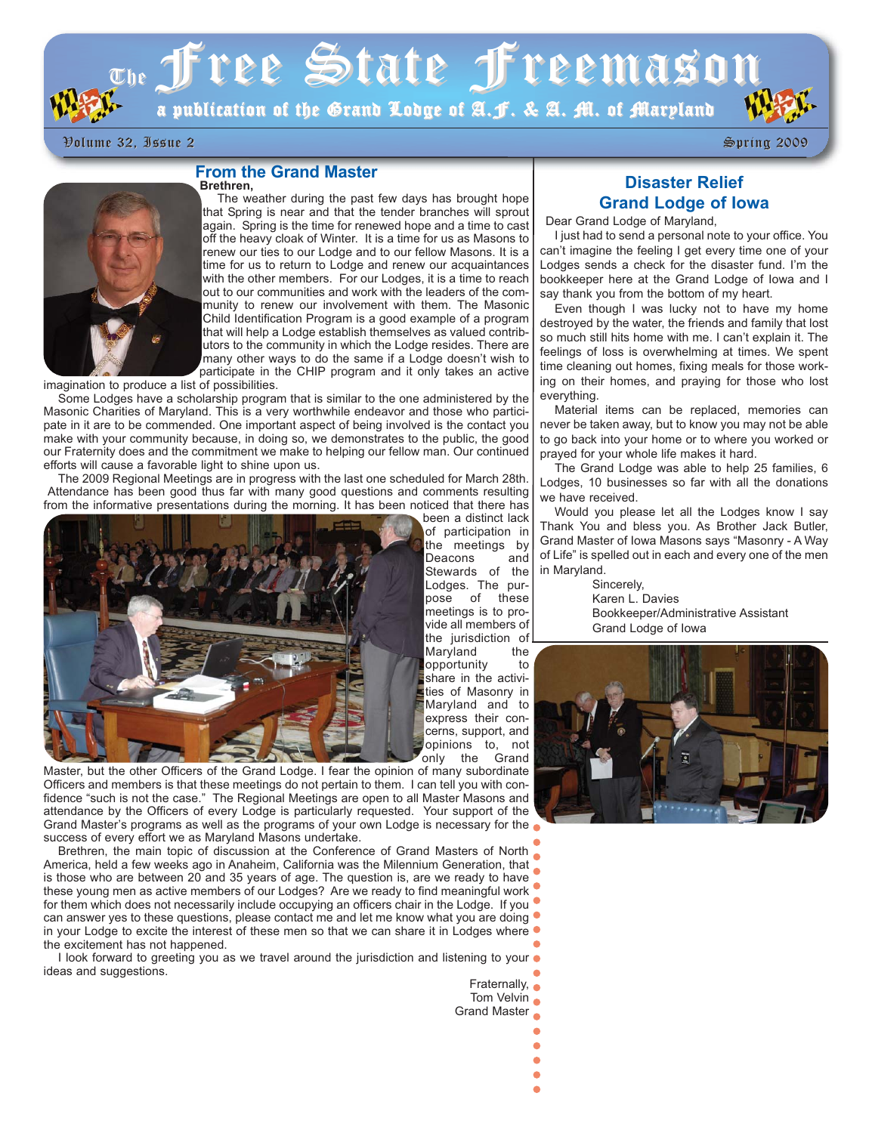

# $\sigma_{\rm He}$  free State freemason

a publication of the Grand Lodge of A.J. & A. M. of Maryland

Volume 32, Issue 2 Volume 32, Issue 2 Spring 2009 Spring 2009

#### **From the Grand Master Brethren,**



The weather during the past few days has brought hope that Spring is near and that the tender branches will sprout again. Spring is the time for renewed hope and a time to cast off the heavy cloak of Winter. It is a time for us as Masons to renew our ties to our Lodge and to our fellow Masons. It is a time for us to return to Lodge and renew our acquaintances with the other members. For our Lodges, it is a time to reach out to our communities and work with the leaders of the community to renew our involvement with them. The Masonic Child Identification Program is a good example of a program that will help a Lodge establish themselves as valued contributors to the community in which the Lodge resides. There are many other ways to do the same if a Lodge doesn't wish to participate in the CHIP program and it only takes an active

imagination to produce a list of possibilities.

Some Lodges have a scholarship program that is similar to the one administered by the Masonic Charities of Maryland. This is a very worthwhile endeavor and those who participate in it are to be commended. One important aspect of being involved is the contact you make with your community because, in doing so, we demonstrates to the public, the good our Fraternity does and the commitment we make to helping our fellow man. Our continued efforts will cause a favorable light to shine upon us.

The 2009 Regional Meetings are in progress with the last one scheduled for March 28th. Attendance has been good thus far with many good questions and comments resulting from the informative presentations during the morning. It has been noticed that there has been a distinct lack



cerns, support, and opinions to, not<br>only the Grand Grand Master, but the other Officers of the Grand Lodge. I fear the opinion of many subordinate Officers and members is that these meetings do not pertain to them. I can tell you with confidence "such is not the case." The Regional Meetings are open to all Master Masons and attendance by the Officers of every Lodge is particularly requested. Your support of the Grand Master's programs as well as the programs of your own Lodge is necessary for the success of every effort we as Maryland Masons undertake.

Brethren, the main topic of discussion at the Conference of Grand Masters of North America, held a few weeks ago in Anaheim, California was the Milennium Generation, that is those who are between 20 and 35 years of age. The question is, are we ready to have these young men as active members of our Lodges? Are we ready to find meaningful work for them which does not necessarily include occupying an officers chair in the Lodge. If you can answer yes to these questions, please contact me and let me know what you are doing in your Lodge to excite the interest of these men so that we can share it in Lodges where  $\bullet$ the excitement has not happened.

I look forward to greeting you as we travel around the jurisdiction and listening to your  $\bullet$ ideas and suggestions.

Fraternally,  $\bullet$ Tom Velvin **o** Grand Master Ä

of participation in the meetings by Deacons and Stewards of the Lodges. The purpose of these meetings is to provide all members of the jurisdiction of Maryland the opportunity to share in the activities of Masonry in Maryland and to express their con-

## **Disaster Relief Grand Lodge of Iowa**

Dear Grand Lodge of Maryland,

I just had to send a personal note to your office. You can't imagine the feeling I get every time one of your Lodges sends a check for the disaster fund. I'm the bookkeeper here at the Grand Lodge of Iowa and I say thank you from the bottom of my heart.

Even though I was lucky not to have my home destroyed by the water, the friends and family that lost so much still hits home with me. I can't explain it. The feelings of loss is overwhelming at times. We spent time cleaning out homes, fixing meals for those working on their homes, and praying for those who lost everything.

Material items can be replaced, memories can never be taken away, but to know you may not be able to go back into your home or to where you worked or prayed for your whole life makes it hard.

The Grand Lodge was able to help 25 families, 6 Lodges, 10 businesses so far with all the donations we have received.

Would you please let all the Lodges know I say Thank You and bless you. As Brother Jack Butler, Grand Master of Iowa Masons says "Masonry - A Way of Life" is spelled out in each and every one of the men in Maryland.

> Sincerely, Karen L. Davies Bookkeeper/Administrative Assistant Grand Lodge of Iowa

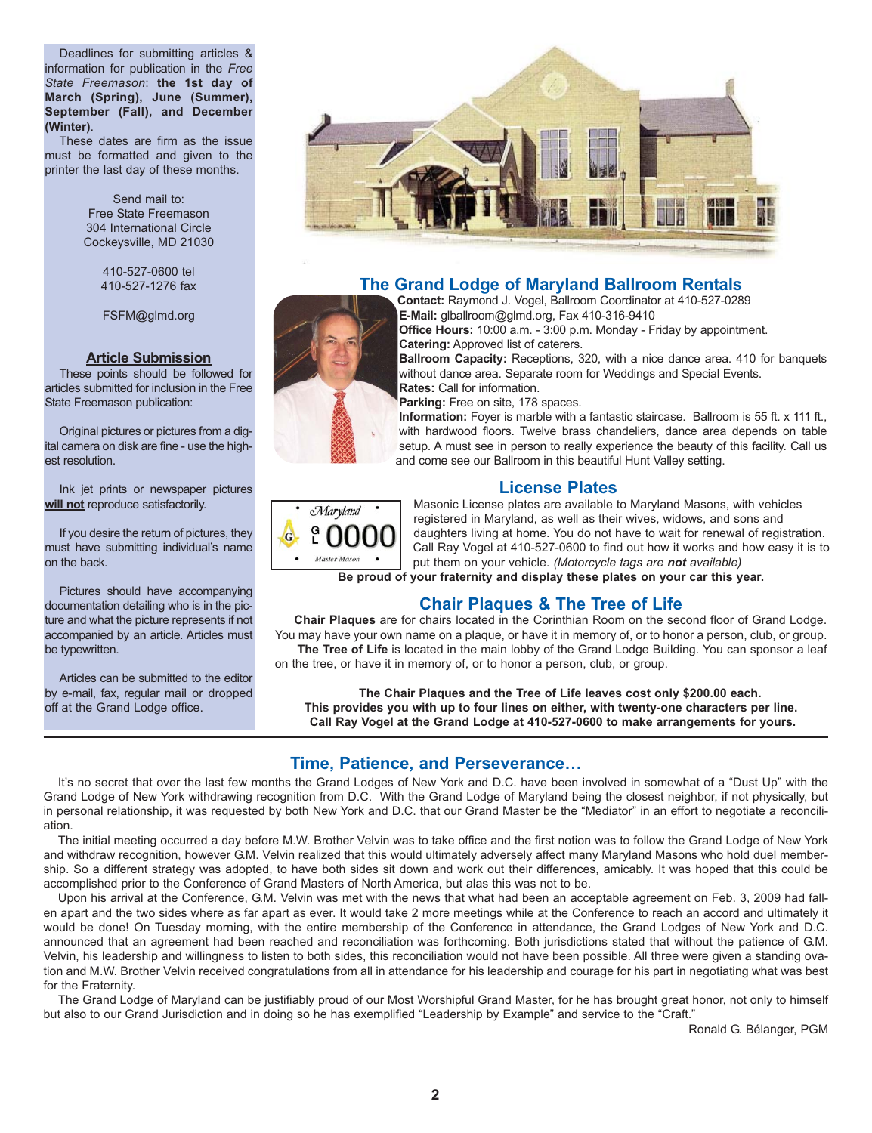Deadlines for submitting articles & information for publication in the *Free State Freemason*: **the 1st day of March (Spring), June (Summer), September (Fall), and December (Winter)**.

These dates are firm as the issue must be formatted and given to the printer the last day of these months.

> Send mail to: Free State Freemason 304 International Circle Cockeysville, MD 21030

> > 410-527-0600 tel 410-527-1276 fax

FSFM@glmd.org

#### **Article Submission**

These points should be followed for articles submitted for inclusion in the Free State Freemason publication:

Original pictures or pictures from a digital camera on disk are fine - use the highest resolution.

Ink jet prints or newspaper pictures **will not** reproduce satisfactorily.

If you desire the return of pictures, they must have submitting individual's name on the back.

Pictures should have accompanying documentation detailing who is in the picture and what the picture represents if not accompanied by an article. Articles must be typewritten.

Articles can be submitted to the editor by e-mail, fax, regular mail or dropped off at the Grand Lodge office.



## **The Grand Lodge of Maryland Ballroom Rentals**

**Contact:** Raymond J. Vogel, Ballroom Coordinator at 410-527-0289 **E-Mail:** glballroom@glmd.org, Fax 410-316-9410

**Office Hours:** 10:00 a.m. - 3:00 p.m. Monday - Friday by appointment. **Catering:** Approved list of caterers.

**Ballroom Capacity:** Receptions, 320, with a nice dance area. 410 for banquets without dance area. Separate room for Weddings and Special Events. **Rates:** Call for information.

**Parking:** Free on site, 178 spaces.

**Information:** Foyer is marble with a fantastic staircase. Ballroom is 55 ft. x 111 ft., with hardwood floors. Twelve brass chandeliers, dance area depends on table setup. A must see in person to really experience the beauty of this facility. Call us and come see our Ballroom in this beautiful Hunt Valley setting.

## **License Plates**



Masonic License plates are available to Maryland Masons, with vehicles registered in Maryland, as well as their wives, widows, and sons and daughters living at home. You do not have to wait for renewal of registration. Call Ray Vogel at 410-527-0600 to find out how it works and how easy it is to put them on your vehicle. *(Motorcycle tags are not available)*

**Be proud of your fraternity and display these plates on your car this year.**

## **Chair Plaques & The Tree of Life**

**Chair Plaques** are for chairs located in the Corinthian Room on the second floor of Grand Lodge. You may have your own name on a plaque, or have it in memory of, or to honor a person, club, or group. The Tree of Life is located in the main lobby of the Grand Lodge Building. You can sponsor a leaf

on the tree, or have it in memory of, or to honor a person, club, or group.

**The Chair Plaques and the Tree of Life leaves cost only \$200.00 each. This provides you with up to four lines on either, with twenty-one characters per line. Call Ray Vogel at the Grand Lodge at 410-527-0600 to make arrangements for yours.**

## **Time, Patience, and Perseverance…**

It's no secret that over the last few months the Grand Lodges of New York and D.C. have been involved in somewhat of a "Dust Up" with the Grand Lodge of New York withdrawing recognition from D.C. With the Grand Lodge of Maryland being the closest neighbor, if not physically, but in personal relationship, it was requested by both New York and D.C. that our Grand Master be the "Mediator" in an effort to negotiate a reconciliation.

The initial meeting occurred a day before M.W. Brother Velvin was to take office and the first notion was to follow the Grand Lodge of New York and withdraw recognition, however G.M. Velvin realized that this would ultimately adversely affect many Maryland Masons who hold duel membership. So a different strategy was adopted, to have both sides sit down and work out their differences, amicably. It was hoped that this could be accomplished prior to the Conference of Grand Masters of North America, but alas this was not to be.

Upon his arrival at the Conference, G.M. Velvin was met with the news that what had been an acceptable agreement on Feb. 3, 2009 had fallen apart and the two sides where as far apart as ever. It would take 2 more meetings while at the Conference to reach an accord and ultimately it would be done! On Tuesday morning, with the entire membership of the Conference in attendance, the Grand Lodges of New York and D.C. announced that an agreement had been reached and reconciliation was forthcoming. Both jurisdictions stated that without the patience of G.M. Velvin, his leadership and willingness to listen to both sides, this reconciliation would not have been possible. All three were given a standing ovation and M.W. Brother Velvin received congratulations from all in attendance for his leadership and courage for his part in negotiating what was best for the Fraternity.

The Grand Lodge of Maryland can be justifiably proud of our Most Worshipful Grand Master, for he has brought great honor, not only to himself but also to our Grand Jurisdiction and in doing so he has exemplified "Leadership by Example" and service to the "Craft."

Ronald G. Bélanger, PGM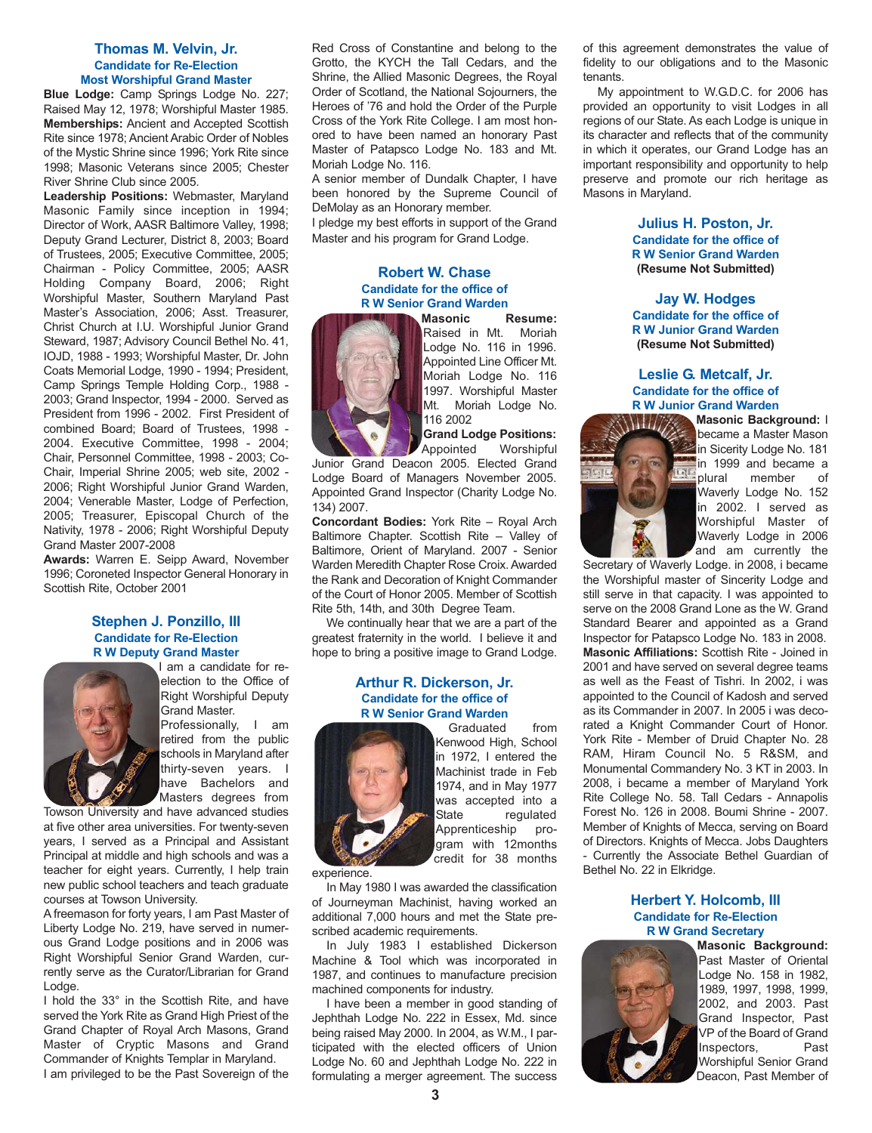#### **Thomas M. Velvin, Jr. Candidate for Re-Election Most Worshipful Grand Master**

**Blue Lodge:** Camp Springs Lodge No. 227; Raised May 12, 1978; Worshipful Master 1985. **Memberships:** Ancient and Accepted Scottish Rite since 1978; Ancient Arabic Order of Nobles of the Mystic Shrine since 1996; York Rite since 1998; Masonic Veterans since 2005; Chester River Shrine Club since 2005.

**Leadership Positions:** Webmaster, Maryland Masonic Family since inception in 1994; Director of Work, AASR Baltimore Valley, 1998; Deputy Grand Lecturer, District 8, 2003; Board of Trustees, 2005; Executive Committee, 2005; Chairman - Policy Committee, 2005; AASR Holding Company Board, 2006; Right Worshipful Master, Southern Maryland Past Master's Association, 2006; Asst. Treasurer, Christ Church at I.U. Worshipful Junior Grand Steward, 1987; Advisory Council Bethel No. 41, IOJD, 1988 - 1993; Worshipful Master, Dr. John Coats Memorial Lodge, 1990 - 1994; President, Camp Springs Temple Holding Corp., 1988 - 2003; Grand Inspector, 1994 - 2000. Served as President from 1996 - 2002. First President of combined Board; Board of Trustees, 1998 - 2004. Executive Committee, 1998 - 2004; Chair, Personnel Committee, 1998 - 2003; Co-Chair, Imperial Shrine 2005; web site, 2002 - 2006; Right Worshipful Junior Grand Warden, 2004; Venerable Master, Lodge of Perfection, 2005; Treasurer, Episcopal Church of the Nativity, 1978 - 2006; Right Worshipful Deputy Grand Master 2007-2008

**Awards:** Warren E. Seipp Award, November 1996; Coroneted Inspector General Honorary in Scottish Rite, October 2001

#### **Stephen J. Ponzillo, III Candidate for Re-Election R W Deputy Grand Master**



I am a candidate for reelection to the Office of Right Worshipful Deputy Grand Master.

Professionally, I am retired from the public schools in Maryland after thirty-seven years. I have Bachelors and Masters degrees from

Towson University and have advanced studies at five other area universities. For twenty-seven years, I served as a Principal and Assistant Principal at middle and high schools and was a teacher for eight years. Currently, I help train new public school teachers and teach graduate courses at Towson University.

A freemason for forty years, I am Past Master of Liberty Lodge No. 219, have served in numerous Grand Lodge positions and in 2006 was Right Worshipful Senior Grand Warden, currently serve as the Curator/Librarian for Grand Lodge.

I hold the 33° in the Scottish Rite, and have served the York Rite as Grand High Priest of the Grand Chapter of Royal Arch Masons, Grand Master of Cryptic Masons and Grand Commander of Knights Templar in Maryland. I am privileged to be the Past Sovereign of the Red Cross of Constantine and belong to the Grotto, the KYCH the Tall Cedars, and the Shrine, the Allied Masonic Degrees, the Royal Order of Scotland, the National Sojourners, the Heroes of '76 and hold the Order of the Purple Cross of the York Rite College. I am most honored to have been named an honorary Past Master of Patapsco Lodge No. 183 and Mt. Moriah Lodge No. 116.

A senior member of Dundalk Chapter, I have been honored by the Supreme Council of DeMolay as an Honorary member.

I pledge my best efforts in support of the Grand Master and his program for Grand Lodge.

## **Robert W. Chase Candidate for the office of R W Senior Grand Warden**



**Masonic Resume:**<br>**Raised in Mt. Moriah** Raised in Mt. Lodge No. 116 in 1996. Appointed Line Officer Mt. Moriah Lodge No. 116 1997. Worshipful Master Mt. Moriah Lodge No. 116 2002

**Grand Lodge Positions:** Appointed Worshipful

Junior Grand Deacon 2005. Elected Grand Lodge Board of Managers November 2005. Appointed Grand Inspector (Charity Lodge No. 134) 2007.

**Concordant Bodies:** York Rite – Royal Arch Baltimore Chapter. Scottish Rite – Valley of Baltimore, Orient of Maryland. 2007 - Senior Warden Meredith Chapter Rose Croix. Awarded the Rank and Decoration of Knight Commander of the Court of Honor 2005. Member of Scottish Rite 5th, 14th, and 30th Degree Team.

We continually hear that we are a part of the greatest fraternity in the world. I believe it and hope to bring a positive image to Grand Lodge.

#### **Arthur R. Dickerson, Jr. Candidate for the office of R W Senior Grand Warden**



Graduated from Kenwood High, School in 1972, I entered the Machinist trade in Feb 1974, and in May 1977 was accepted into a State regulated Apprenticeship program with 12months credit for 38 months

experience.

In May 1980 I was awarded the classification of Journeyman Machinist, having worked an additional 7,000 hours and met the State prescribed academic requirements.

In July 1983 I established Dickerson Machine & Tool which was incorporated in 1987, and continues to manufacture precision machined components for industry.

I have been a member in good standing of Jephthah Lodge No. 222 in Essex, Md. since being raised May 2000. In 2004, as W.M., I participated with the elected officers of Union Lodge No. 60 and Jephthah Lodge No. 222 in formulating a merger agreement. The success

of this agreement demonstrates the value of fidelity to our obligations and to the Masonic tenants.

My appointment to W.G.D.C. for 2006 has provided an opportunity to visit Lodges in all regions of our State. As each Lodge is unique in its character and reflects that of the community in which it operates, our Grand Lodge has an important responsibility and opportunity to help preserve and promote our rich heritage as Masons in Maryland.

> **Julius H. Poston, Jr. Candidate for the office of R W Senior Grand Warden (Resume Not Submitted)**

> **Jay W. Hodges Candidate for the office of R W Junior Grand Warden (Resume Not Submitted)**

#### **Leslie G. Metcalf, Jr. Candidate for the office of R W Junior Grand Warden**



**Masonic Background:** I became a Master Mason in Sicerity Lodge No. 181 in 1999 and became a plural member of Waverly Lodge No. 152 in 2002. I served as Worshipful Master of Waverly Lodge in 2006 and am currently the

Secretary of Waverly Lodge. in 2008, i became the Worshipful master of Sincerity Lodge and still serve in that capacity. I was appointed to serve on the 2008 Grand Lone as the W. Grand Standard Bearer and appointed as a Grand Inspector for Patapsco Lodge No. 183 in 2008. **Masonic Affiliations:** Scottish Rite - Joined in 2001 and have served on several degree teams as well as the Feast of Tishri. In 2002, i was appointed to the Council of Kadosh and served as its Commander in 2007. In 2005 i was decorated a Knight Commander Court of Honor. York Rite - Member of Druid Chapter No. 28 RAM, Hiram Council No. 5 R&SM, and Monumental Commandery No. 3 KT in 2003. In 2008, i became a member of Maryland York Rite College No. 58. Tall Cedars - Annapolis Forest No. 126 in 2008. Boumi Shrine - 2007. Member of Knights of Mecca, serving on Board of Directors. Knights of Mecca. Jobs Daughters - Currently the Associate Bethel Guardian of Bethel No. 22 in Elkridge.

#### **Herbert Y. Holcomb, III Candidate for Re-Election R W Grand Secretary**



**Masonic Background:** Past Master of Oriental Lodge No. 158 in 1982, 1989, 1997, 1998, 1999, 2002, and 2003. Past Grand Inspector, Past VP of the Board of Grand Inspectors, Past Worshipful Senior Grand Deacon, Past Member of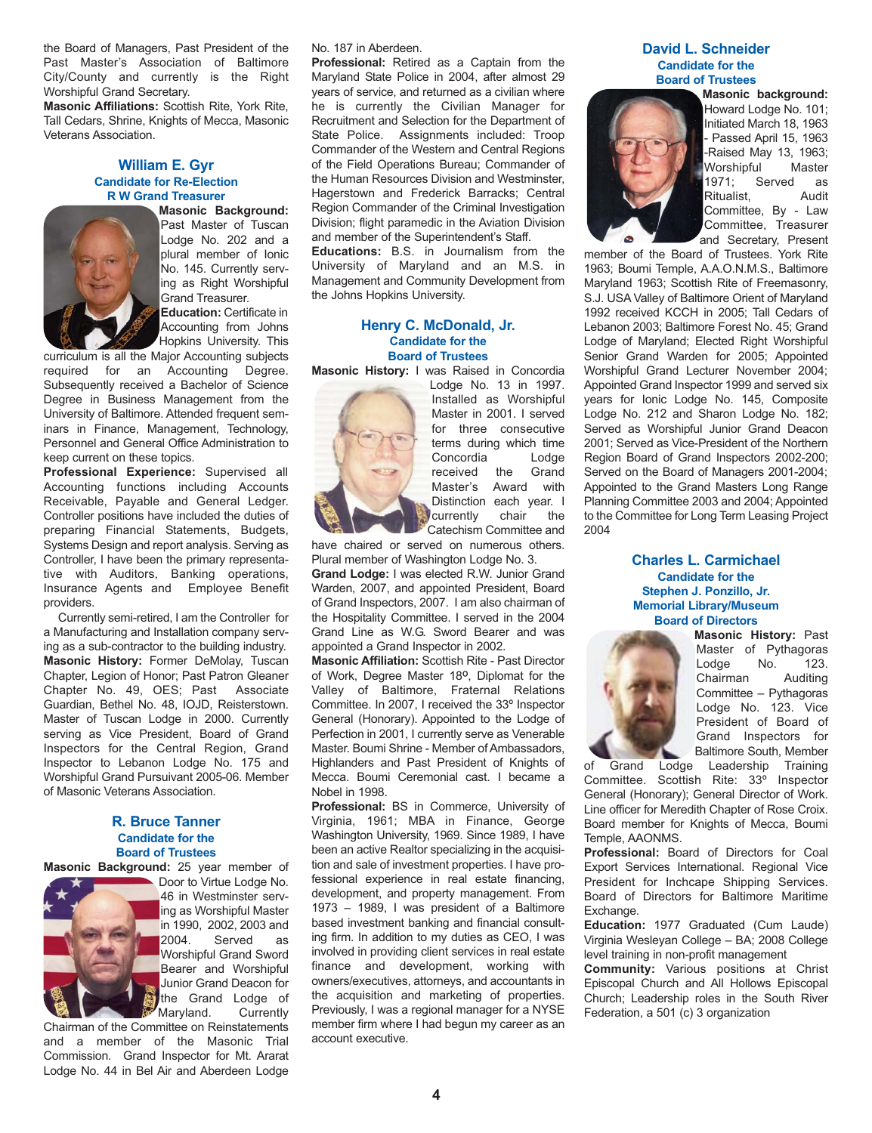the Board of Managers, Past President of the Past Master's Association of Baltimore City/County and currently is the Right Worshipful Grand Secretary.

**Masonic Affiliations:** Scottish Rite, York Rite, Tall Cedars, Shrine, Knights of Mecca, Masonic Veterans Association.

#### **William E. Gyr Candidate for Re-Election R W Grand Treasurer**



**Masonic Background:** Past Master of Tuscan Lodge No. 202 and a plural member of Ionic No. 145. Currently serving as Right Worshipful Grand Treasurer. **Education:** Certificate in

Accounting from Johns Hopkins University. This

curriculum is all the Major Accounting subjects required for an Accounting Degree. Subsequently received a Bachelor of Science Degree in Business Management from the University of Baltimore. Attended frequent seminars in Finance, Management, Technology, Personnel and General Office Administration to keep current on these topics.

**Professional Experience:** Supervised all Accounting functions including Accounts Receivable, Payable and General Ledger. Controller positions have included the duties of preparing Financial Statements, Budgets, Systems Design and report analysis. Serving as Controller, I have been the primary representative with Auditors, Banking operations, Insurance Agents and Employee Benefit providers.

Currently semi-retired, I am the Controller for a Manufacturing and Installation company serving as a sub-contractor to the building industry. **Masonic History:** Former DeMolay, Tuscan Chapter, Legion of Honor; Past Patron Gleaner Chapter No. 49, OES; Past Associate Guardian, Bethel No. 48, IOJD, Reisterstown. Master of Tuscan Lodge in 2000. Currently serving as Vice President, Board of Grand Inspectors for the Central Region, Grand Inspector to Lebanon Lodge No. 175 and Worshipful Grand Pursuivant 2005-06. Member of Masonic Veterans Association.

#### **R. Bruce Tanner Candidate for the Board of Trustees**

**Masonic Background:** 25 year member of



Door to Virtue Lodge No. 46 in Westminster serving as Worshipful Master in 1990, 2002, 2003 and 2004. Served as Worshipful Grand Sword Bearer and Worshipful Junior Grand Deacon for the Grand Lodge of<br>Maryland. Currently Maryland.

Chairman of the Committee on Reinstatements and a member of the Masonic Trial Commission. Grand Inspector for Mt. Ararat Lodge No. 44 in Bel Air and Aberdeen Lodge No. 187 in Aberdeen.

**Professional:** Retired as a Captain from the Maryland State Police in 2004, after almost 29 years of service, and returned as a civilian where he is currently the Civilian Manager for Recruitment and Selection for the Department of State Police. Assignments included: Troop Commander of the Western and Central Regions of the Field Operations Bureau; Commander of the Human Resources Division and Westminster, Hagerstown and Frederick Barracks; Central Region Commander of the Criminal Investigation Division; flight paramedic in the Aviation Division and member of the Superintendent's Staff. **Educations:** B.S. in Journalism from the

University of Maryland and an M.S. in Management and Community Development from the Johns Hopkins University.

#### **Henry C. McDonald, Jr. Candidate for the Board of Trustees**

**Masonic History:** I was Raised in Concordia



Lodge No. 13 in 1997. Installed as Worshipful Master in 2001. I served for three consecutive terms during which time Concordia Lodge received the Grand Master's Award with Distinction each year. I lcurrently chair the Catechism Committee and

have chaired or served on numerous others. Plural member of Washington Lodge No. 3.

**Grand Lodge:** I was elected R.W. Junior Grand Warden, 2007, and appointed President, Board of Grand Inspectors, 2007. I am also chairman of the Hospitality Committee. I served in the 2004 Grand Line as W.G. Sword Bearer and was appointed a Grand Inspector in 2002.

**Masonic Affiliation:** Scottish Rite - Past Director of Work, Degree Master 18º, Diplomat for the Valley of Baltimore, Fraternal Relations Committee. In 2007, I received the 33º Inspector General (Honorary). Appointed to the Lodge of Perfection in 2001, I currently serve as Venerable Master. Boumi Shrine - Member of Ambassadors, Highlanders and Past President of Knights of Mecca. Boumi Ceremonial cast. I became a Nobel in 1998.

**Professional:** BS in Commerce, University of Virginia, 1961; MBA in Finance, George Washington University, 1969. Since 1989, I have been an active Realtor specializing in the acquisition and sale of investment properties. I have professional experience in real estate financing, development, and property management. From 1973 – 1989, I was president of a Baltimore based investment banking and financial consulting firm. In addition to my duties as CEO, I was involved in providing client services in real estate finance and development, working with owners/executives, attorneys, and accountants in the acquisition and marketing of properties. Previously, I was a regional manager for a NYSE member firm where I had begun my career as an account executive.

#### **David L. Schneider Candidate for the Board of Trustees**



**Masonic background:** Howard Lodge No. 101; Initiated March 18, 1963 - Passed April 15, 1963 -Raised May 13, 1963; Worshipful Master 1971; Served as Ritualist, Audit Committee, By - Law Committee, Treasurer and Secretary, Present

member of the Board of Trustees. York Rite 1963; Boumi Temple, A.A.O.N.M.S., Baltimore Maryland 1963; Scottish Rite of Freemasonry, S.J. USA Valley of Baltimore Orient of Maryland 1992 received KCCH in 2005; Tall Cedars of Lebanon 2003; Baltimore Forest No. 45; Grand Lodge of Maryland; Elected Right Worshipful Senior Grand Warden for 2005; Appointed Worshipful Grand Lecturer November 2004; Appointed Grand Inspector 1999 and served six years for Ionic Lodge No. 145, Composite Lodge No. 212 and Sharon Lodge No. 182; Served as Worshipful Junior Grand Deacon 2001; Served as Vice-President of the Northern Region Board of Grand Inspectors 2002-200; Served on the Board of Managers 2001-2004; Appointed to the Grand Masters Long Range Planning Committee 2003 and 2004; Appointed to the Committee for Long Term Leasing Project 2004

> **Charles L. Carmichael Candidate for the Stephen J. Ponzillo, Jr. Memorial Library/Museum Board of Directors**



**Masonic History:** Past Master of Pythagoras Lodge No. 123. Chairman Auditing Committee – Pythagoras Lodge No. 123. Vice President of Board of Grand Inspectors for Baltimore South, Member

of Grand Lodge Leadership Training Committee. Scottish Rite: 33º Inspector General (Honorary); General Director of Work. Line officer for Meredith Chapter of Rose Croix. Board member for Knights of Mecca, Boumi Temple, AAONMS.

**Professional:** Board of Directors for Coal Export Services International. Regional Vice President for Inchcape Shipping Services. Board of Directors for Baltimore Maritime Exchange.

**Education:** 1977 Graduated (Cum Laude) Virginia Wesleyan College – BA; 2008 College level training in non-profit management

**Community:** Various positions at Christ Episcopal Church and All Hollows Episcopal Church; Leadership roles in the South River Federation, a 501 (c) 3 organization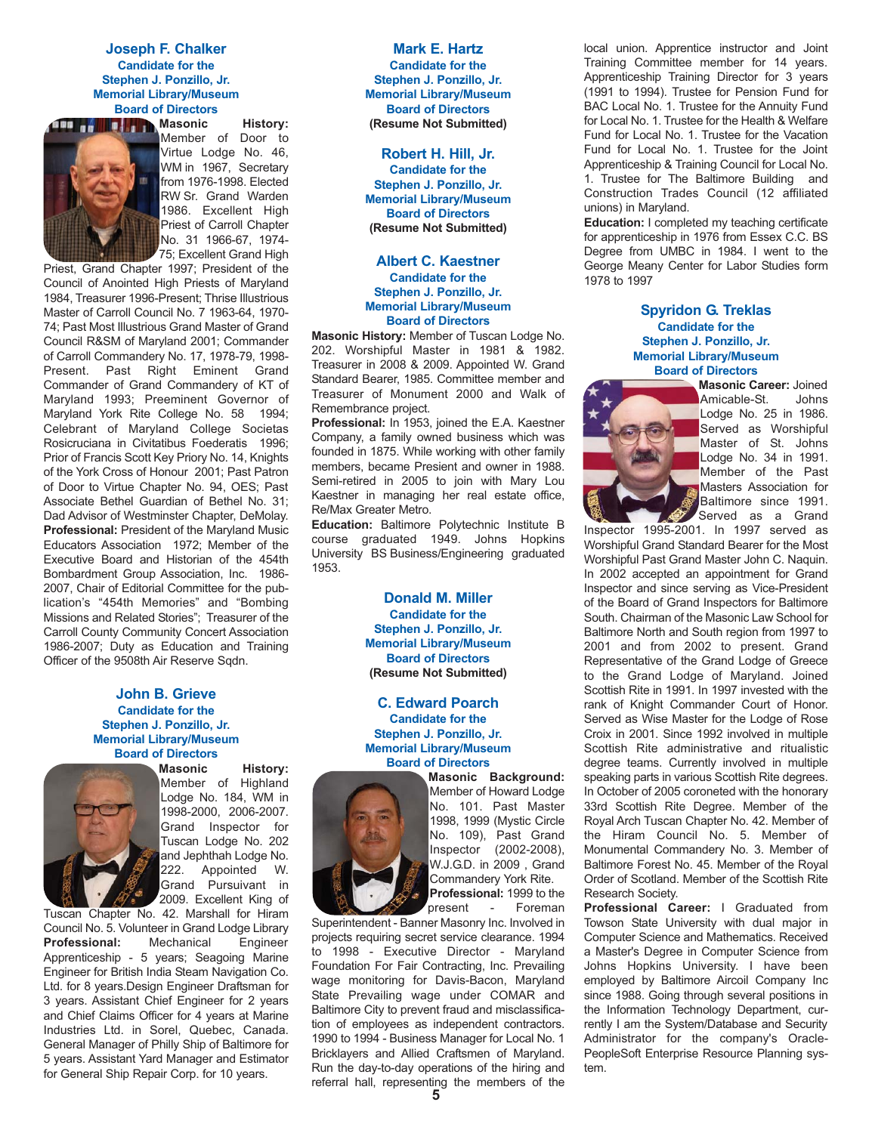**Joseph F. Chalker Candidate for the Stephen J. Ponzillo, Jr. Memorial Library/Museum Board of Directors**



**Masonic** History: Member of Door to Virtue Lodge No. 46, WM in 1967, Secretary from 1976-1998. Elected RW Sr. Grand Warden 1986. Excellent High Priest of Carroll Chapter No. 31 1966-67, 1974- 75; Excellent Grand High

Priest, Grand Chapter 1997; President of the Council of Anointed High Priests of Maryland 1984, Treasurer 1996-Present; Thrise Illustrious Master of Carroll Council No. 7 1963-64, 1970- 74; Past Most Illustrious Grand Master of Grand Council R&SM of Maryland 2001; Commander of Carroll Commandery No. 17, 1978-79, 1998- Present. Past Right Eminent Grand Commander of Grand Commandery of KT of Maryland 1993; Preeminent Governor of Maryland York Rite College No. 58 1994; Celebrant of Maryland College Societas Rosicruciana in Civitatibus Foederatis 1996; Prior of Francis Scott Key Priory No. 14, Knights of the York Cross of Honour 2001; Past Patron of Door to Virtue Chapter No. 94, OES; Past Associate Bethel Guardian of Bethel No. 31; Dad Advisor of Westminster Chapter, DeMolay. **Professional:** President of the Maryland Music Educators Association 1972; Member of the Executive Board and Historian of the 454th Bombardment Group Association, Inc. 1986- 2007, Chair of Editorial Committee for the publication's "454th Memories" and "Bombing Missions and Related Stories"; Treasurer of the Carroll County Community Concert Association 1986-2007; Duty as Education and Training Officer of the 9508th Air Reserve Sqdn.

#### **John B. Grieve Candidate for the Stephen J. Ponzillo, Jr. Memorial Library/Museum Board of Directors**



**Masonic History:** Member of Highland Lodge No. 184, WM in 1998-2000, 2006-2007. Grand Inspector for Tuscan Lodge No. 202 and Jephthah Lodge No<mark>.</mark><br>222. Appointed W. Appointed W. Grand Pursuivant in 2009. Excellent King of

Tuscan Chapter No. 42. Marshall for Hiram Council No. 5. Volunteer in Grand Lodge Library **Professional:** Mechanical Engineer Apprenticeship - 5 years; Seagoing Marine Engineer for British India Steam Navigation Co. Ltd. for 8 years.Design Engineer Draftsman for 3 years. Assistant Chief Engineer for 2 years and Chief Claims Officer for 4 years at Marine Industries Ltd. in Sorel, Quebec, Canada. General Manager of Philly Ship of Baltimore for 5 years. Assistant Yard Manager and Estimator for General Ship Repair Corp. for 10 years.

#### **Mark E. Hartz Candidate for the Stephen J. Ponzillo, Jr. Memorial Library/Museum Board of Directors (Resume Not Submitted)**

**Robert H. Hill, Jr. Candidate for the Stephen J. Ponzillo, Jr. Memorial Library/Museum Board of Directors (Resume Not Submitted)**

#### **Albert C. Kaestner Candidate for the Stephen J. Ponzillo, Jr. Memorial Library/Museum Board of Directors**

**Masonic History:** Member of Tuscan Lodge No. 202. Worshipful Master in 1981 & 1982. Treasurer in 2008 & 2009. Appointed W. Grand Standard Bearer, 1985. Committee member and Treasurer of Monument 2000 and Walk of Remembrance project.

**Professional:** In 1953, joined the E.A. Kaestner Company, a family owned business which was founded in 1875. While working with other family members, became Presient and owner in 1988. Semi-retired in 2005 to join with Mary Lou Kaestner in managing her real estate office, Re/Max Greater Metro.

**Education:** Baltimore Polytechnic Institute B course graduated 1949. Johns Hopkins University BS Business/Engineering graduated 1953.

> **Donald M. Miller Candidate for the Stephen J. Ponzillo, Jr. Memorial Library/Museum Board of Directors (Resume Not Submitted)**

> **C. Edward Poarch Candidate for the Stephen J. Ponzillo, Jr. Memorial Library/Museum Board of Directors**



**Masonic Background:** Member of Howard Lodge No. 101. Past Master 1998, 1999 (Mystic Circle No. 109), Past Grand Inspector (2002-2008), W.J.G.D. in 2009 , Grand Commandery York Rite. **Professional:** 1999 to the

present - Foreman Superintendent - Banner Masonry Inc. Involved in projects requiring secret service clearance. 1994 to 1998 - Executive Director - Maryland Foundation For Fair Contracting, Inc. Prevailing wage monitoring for Davis-Bacon, Maryland

State Prevailing wage under COMAR and Baltimore City to prevent fraud and misclassification of employees as independent contractors. 1990 to 1994 - Business Manager for Local No. 1 Bricklayers and Allied Craftsmen of Maryland. Run the day-to-day operations of the hiring and referral hall, representing the members of the

local union. Apprentice instructor and Joint Training Committee member for 14 years. Apprenticeship Training Director for 3 years (1991 to 1994). Trustee for Pension Fund for BAC Local No. 1. Trustee for the Annuity Fund for Local No. 1. Trustee for the Health & Welfare Fund for Local No. 1. Trustee for the Vacation Fund for Local No. 1. Trustee for the Joint Apprenticeship & Training Council for Local No. 1. Trustee for The Baltimore Building and Construction Trades Council (12 affiliated unions) in Maryland.

**Education:** I completed my teaching certificate for apprenticeship in 1976 from Essex C.C. BS Degree from UMBC in 1984. I went to the George Meany Center for Labor Studies form 1978 to 1997

> **Spyridon G. Treklas Candidate for the Stephen J. Ponzillo, Jr. Memorial Library/Museum Board of Directors**



**Masonic Career:** Joined Amicable-St. Johns Lodge No. 25 in 1986. Served as Worshipful Master of St. Johns Lodge No. 34 in 1991. Member of the Past Masters Association for Baltimore since 1991. Served as a Grand

Inspector 1995-2001. In 1997 served as Worshipful Grand Standard Bearer for the Most Worshipful Past Grand Master John C. Naquin. In 2002 accepted an appointment for Grand Inspector and since serving as Vice-President of the Board of Grand Inspectors for Baltimore South. Chairman of the Masonic Law School for Baltimore North and South region from 1997 to 2001 and from 2002 to present. Grand Representative of the Grand Lodge of Greece to the Grand Lodge of Maryland. Joined Scottish Rite in 1991. In 1997 invested with the rank of Knight Commander Court of Honor. Served as Wise Master for the Lodge of Rose Croix in 2001. Since 1992 involved in multiple Scottish Rite administrative and ritualistic degree teams. Currently involved in multiple speaking parts in various Scottish Rite degrees. In October of 2005 coroneted with the honorary 33rd Scottish Rite Degree. Member of the Royal Arch Tuscan Chapter No. 42. Member of the Hiram Council No. 5. Member of Monumental Commandery No. 3. Member of Baltimore Forest No. 45. Member of the Royal Order of Scotland. Member of the Scottish Rite Research Society.

**Professional Career:** I Graduated from Towson State University with dual major in Computer Science and Mathematics. Received a Master's Degree in Computer Science from Johns Hopkins University. I have been employed by Baltimore Aircoil Company Inc since 1988. Going through several positions in the Information Technology Department, currently I am the System/Database and Security Administrator for the company's Oracle-PeopleSoft Enterprise Resource Planning system.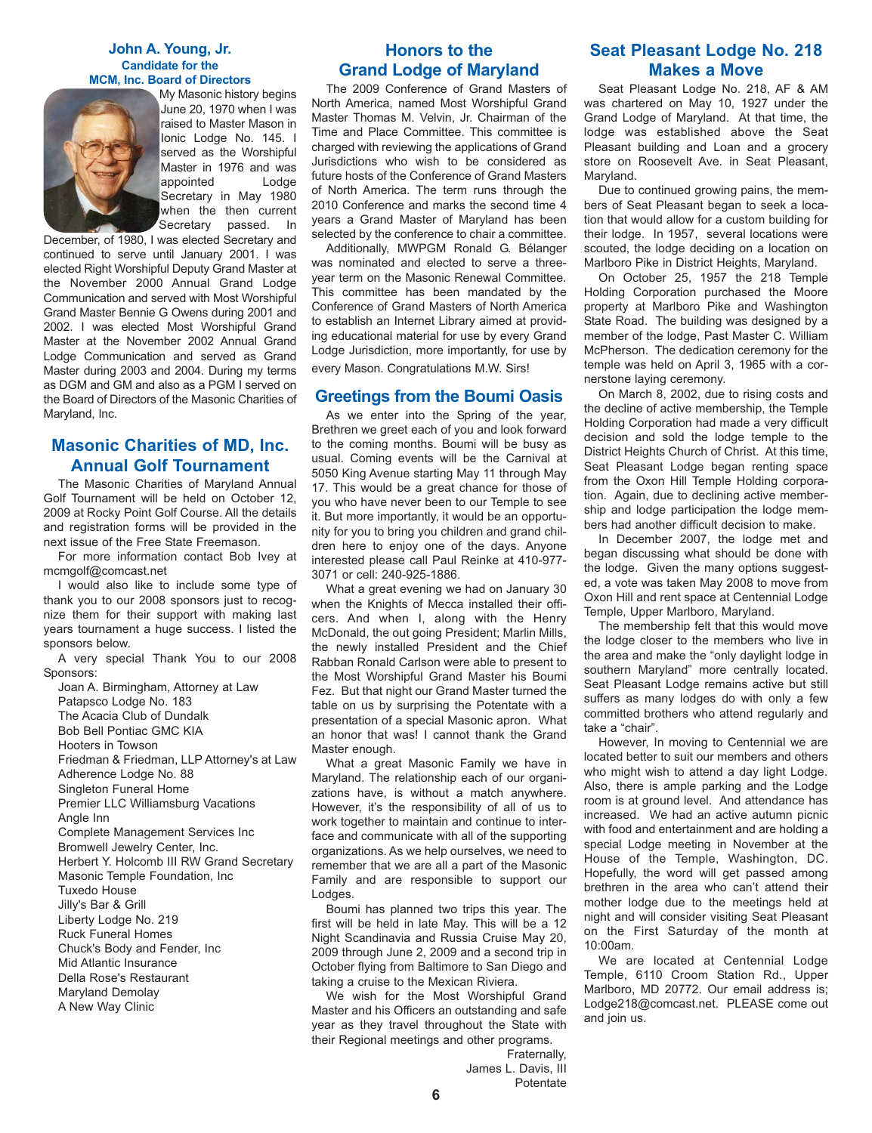#### **John A. Young, Jr. Candidate for the MCM, Inc. Board of Directors**



My Masonic history begins June 20, 1970 when I was raised to Master Mason in Ionic Lodge No. 145. I served as the Worshipful Master in 1976 and was appointed Lodge Secretary in May 1980 when the then current Secretary passed. In

December, of 1980, I was elected Secretary and continued to serve until January 2001. I was elected Right Worshipful Deputy Grand Master at the November 2000 Annual Grand Lodge Communication and served with Most Worshipful Grand Master Bennie G Owens during 2001 and 2002. I was elected Most Worshipful Grand Master at the November 2002 Annual Grand Lodge Communication and served as Grand Master during 2003 and 2004. During my terms as DGM and GM and also as a PGM I served on the Board of Directors of the Masonic Charities of Maryland, Inc.

## **Masonic Charities of MD, Inc. Annual Golf Tournament**

The Masonic Charities of Maryland Annual Golf Tournament will be held on October 12, 2009 at Rocky Point Golf Course. All the details and registration forms will be provided in the next issue of the Free State Freemason.

For more information contact Bob Ivey at mcmgolf@comcast.net

I would also like to include some type of thank you to our 2008 sponsors just to recognize them for their support with making last years tournament a huge success. I listed the sponsors below.

A very special Thank You to our 2008 Sponsors:

Joan A. Birmingham, Attorney at Law

Patapsco Lodge No. 183

The Acacia Club of Dundalk

Bob Bell Pontiac GMC KIA

Hooters in Towson

Friedman & Friedman, LLP Attorney's at Law

Adherence Lodge No. 88

Singleton Funeral Home

Premier LLC Williamsburg Vacations Angle Inn

Complete Management Services Inc

Bromwell Jewelry Center, Inc.

Herbert Y. Holcomb III RW Grand Secretary Masonic Temple Foundation, Inc

Tuxedo House

Jilly's Bar & Grill

- Liberty Lodge No. 219
- Ruck Funeral Homes

Chuck's Body and Fender, Inc

Mid Atlantic Insurance

Della Rose's Restaurant

Maryland Demolay

A New Way Clinic

## **Honors to the Grand Lodge of Maryland**

The 2009 Conference of Grand Masters of North America, named Most Worshipful Grand Master Thomas M. Velvin, Jr. Chairman of the Time and Place Committee. This committee is charged with reviewing the applications of Grand Jurisdictions who wish to be considered as future hosts of the Conference of Grand Masters of North America. The term runs through the 2010 Conference and marks the second time 4 years a Grand Master of Maryland has been selected by the conference to chair a committee.

Additionally, MWPGM Ronald G. Bélanger was nominated and elected to serve a threeyear term on the Masonic Renewal Committee. This committee has been mandated by the Conference of Grand Masters of North America to establish an Internet Library aimed at providing educational material for use by every Grand Lodge Jurisdiction, more importantly, for use by every Mason. Congratulations M.W. Sirs!

## **Greetings from the Boumi Oasis**

As we enter into the Spring of the year, Brethren we greet each of you and look forward to the coming months. Boumi will be busy as usual. Coming events will be the Carnival at 5050 King Avenue starting May 11 through May 17. This would be a great chance for those of you who have never been to our Temple to see it. But more importantly, it would be an opportunity for you to bring you children and grand children here to enjoy one of the days. Anyone interested please call Paul Reinke at 410-977- 3071 or cell: 240-925-1886.

What a great evening we had on January 30 when the Knights of Mecca installed their officers. And when I, along with the Henry McDonald, the out going President; Marlin Mills, the newly installed President and the Chief Rabban Ronald Carlson were able to present to the Most Worshipful Grand Master his Boumi Fez. But that night our Grand Master turned the table on us by surprising the Potentate with a presentation of a special Masonic apron. What an honor that was! I cannot thank the Grand Master enough.

What a great Masonic Family we have in Maryland. The relationship each of our organizations have, is without a match anywhere. However, it's the responsibility of all of us to work together to maintain and continue to interface and communicate with all of the supporting organizations. As we help ourselves, we need to remember that we are all a part of the Masonic Family and are responsible to support our Lodges.

Boumi has planned two trips this year. The first will be held in late May. This will be a 12 Night Scandinavia and Russia Cruise May 20, 2009 through June 2, 2009 and a second trip in October flying from Baltimore to San Diego and taking a cruise to the Mexican Riviera.

We wish for the Most Worshipful Grand Master and his Officers an outstanding and safe year as they travel throughout the State with their Regional meetings and other programs.

## **Seat Pleasant Lodge No. 218 Makes a Move**

Seat Pleasant Lodge No. 218, AF & AM was chartered on May 10, 1927 under the Grand Lodge of Maryland. At that time, the lodge was established above the Seat Pleasant building and Loan and a grocery store on Roosevelt Ave. in Seat Pleasant, Maryland.

Due to continued growing pains, the members of Seat Pleasant began to seek a location that would allow for a custom building for their lodge. In 1957, several locations were scouted, the lodge deciding on a location on Marlboro Pike in District Heights, Maryland.

On October 25, 1957 the 218 Temple Holding Corporation purchased the Moore property at Marlboro Pike and Washington State Road. The building was designed by a member of the lodge, Past Master C. William McPherson. The dedication ceremony for the temple was held on April 3, 1965 with a cornerstone laying ceremony.

On March 8, 2002, due to rising costs and the decline of active membership, the Temple Holding Corporation had made a very difficult decision and sold the lodge temple to the District Heights Church of Christ. At this time, Seat Pleasant Lodge began renting space from the Oxon Hill Temple Holding corporation. Again, due to declining active membership and lodge participation the lodge members had another difficult decision to make.

In December 2007, the lodge met and began discussing what should be done with the lodge. Given the many options suggested, a vote was taken May 2008 to move from Oxon Hill and rent space at Centennial Lodge Temple, Upper Marlboro, Maryland.

The membership felt that this would move the lodge closer to the members who live in the area and make the "only daylight lodge in southern Maryland" more centrally located. Seat Pleasant Lodge remains active but still suffers as many lodges do with only a few committed brothers who attend regularly and take a "chair".

However, In moving to Centennial we are located better to suit our members and others who might wish to attend a day light Lodge. Also, there is ample parking and the Lodge room is at ground level. And attendance has increased. We had an active autumn picnic with food and entertainment and are holding a special Lodge meeting in November at the House of the Temple, Washington, DC. Hopefully, the word will get passed among brethren in the area who can't attend their mother lodge due to the meetings held at night and will consider visiting Seat Pleasant on the First Saturday of the month at 10:00am.

We are located at Centennial Lodge Temple, 6110 Croom Station Rd., Upper Marlboro, MD 20772. Our email address is; Lodge218@comcast.net. PLEASE come out and join us.

Fraternally, James L. Davis, III Potentate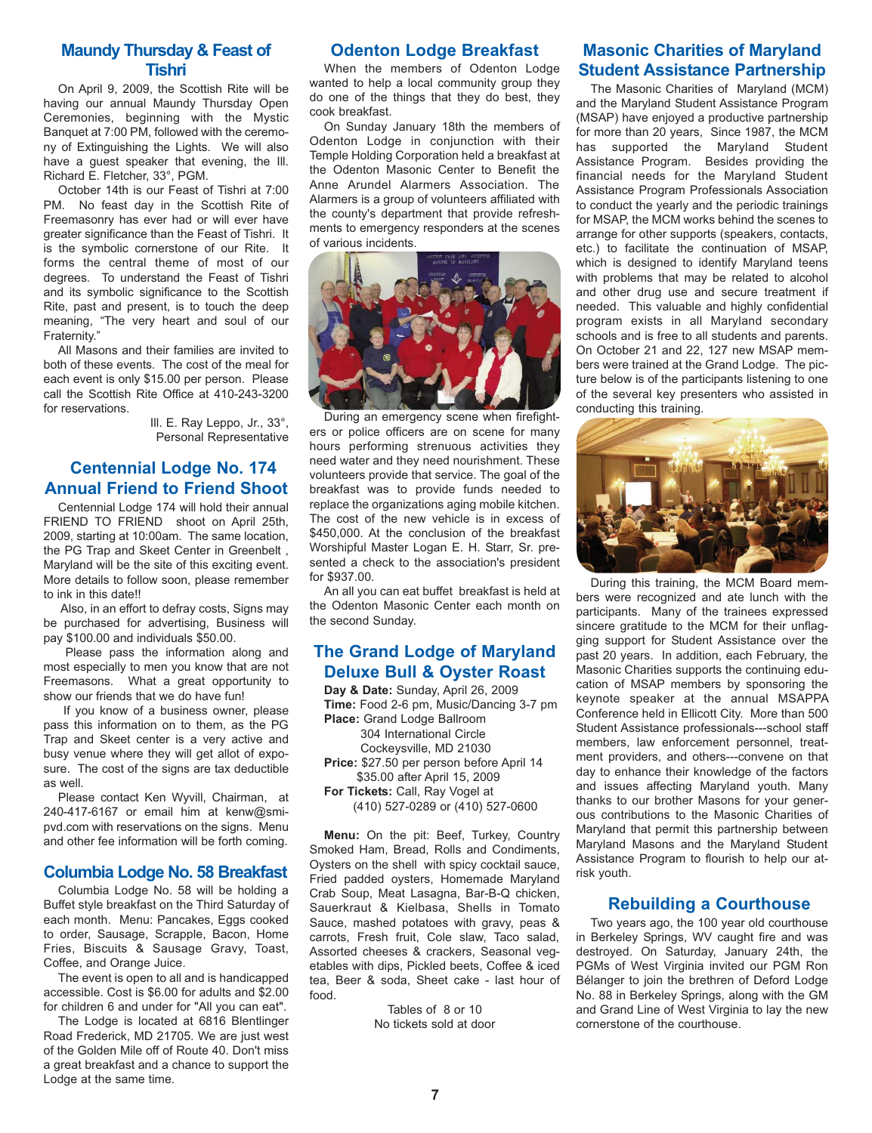## **Maundy Thursday & Feast of Tishri**

On April 9, 2009, the Scottish Rite will be having our annual Maundy Thursday Open Ceremonies, beginning with the Mystic Banquet at 7:00 PM, followed with the ceremony of Extinguishing the Lights. We will also have a guest speaker that evening, the Ill. Richard E. Fletcher, 33°, PGM.

October 14th is our Feast of Tishri at 7:00 PM. No feast day in the Scottish Rite of Freemasonry has ever had or will ever have greater significance than the Feast of Tishri. It is the symbolic cornerstone of our Rite. It forms the central theme of most of our degrees. To understand the Feast of Tishri and its symbolic significance to the Scottish Rite, past and present, is to touch the deep meaning, "The very heart and soul of our Fraternity."

All Masons and their families are invited to both of these events. The cost of the meal for each event is only \$15.00 per person. Please call the Scottish Rite Office at 410-243-3200 for reservations.

> Ill. E. Ray Leppo, Jr., 33°, Personal Representative

## **Centennial Lodge No. 174 Annual Friend to Friend Shoot**

Centennial Lodge 174 will hold their annual FRIEND TO FRIEND shoot on April 25th, 2009, starting at 10:00am. The same location, the PG Trap and Skeet Center in Greenbelt , Maryland will be the site of this exciting event. More details to follow soon, please remember to ink in this date!!

Also, in an effort to defray costs. Signs may be purchased for advertising, Business will pay \$100.00 and individuals \$50.00.

Please pass the information along and most especially to men you know that are not Freemasons. What a great opportunity to show our friends that we do have fun!

If you know of a business owner, please pass this information on to them, as the PG Trap and Skeet center is a very active and busy venue where they will get allot of exposure. The cost of the signs are tax deductible as well.

Please contact Ken Wyvill, Chairman, at 240-417-6167 or email him at kenw@smipvd.com with reservations on the signs. Menu and other fee information will be forth coming.

## **Columbia Lodge No. 58 Breakfast**

Columbia Lodge No. 58 will be holding a Buffet style breakfast on the Third Saturday of each month. Menu: Pancakes, Eggs cooked to order, Sausage, Scrapple, Bacon, Home Fries, Biscuits & Sausage Gravy, Toast, Coffee, and Orange Juice.

The event is open to all and is handicapped accessible. Cost is \$6.00 for adults and \$2.00 for children 6 and under for "All you can eat".

The Lodge is located at 6816 Blentlinger Road Frederick, MD 21705. We are just west of the Golden Mile off of Route 40. Don't miss a great breakfast and a chance to support the Lodge at the same time.

## **Odenton Lodge Breakfast**

When the members of Odenton Lodge wanted to help a local community group they do one of the things that they do best, they cook breakfast.

On Sunday January 18th the members of Odenton Lodge in conjunction with their Temple Holding Corporation held a breakfast at the Odenton Masonic Center to Benefit the Anne Arundel Alarmers Association. The Alarmers is a group of volunteers affiliated with the county's department that provide refreshments to emergency responders at the scenes of various incidents.



During an emergency scene when firefighters or police officers are on scene for many hours performing strenuous activities they need water and they need nourishment. These volunteers provide that service. The goal of the breakfast was to provide funds needed to replace the organizations aging mobile kitchen. The cost of the new vehicle is in excess of \$450,000. At the conclusion of the breakfast Worshipful Master Logan E. H. Starr, Sr. presented a check to the association's president for \$937.00.

An all you can eat buffet breakfast is held at the Odenton Masonic Center each month on the second Sunday.

## **The Grand Lodge of Maryland Deluxe Bull & Oyster Roast**

**Day & Date:** Sunday, April 26, 2009 **Time:** Food 2-6 pm, Music/Dancing 3-7 pm **Place:** Grand Lodge Ballroom 304 International Circle Cockeysville, MD 21030 **Price:** \$27.50 per person before April 14 \$35.00 after April 15, 2009 **For Tickets:** Call, Ray Vogel at (410) 527-0289 or (410) 527-0600

**Menu:** On the pit: Beef, Turkey, Country Smoked Ham, Bread, Rolls and Condiments, Oysters on the shell with spicy cocktail sauce, Fried padded oysters, Homemade Maryland Crab Soup, Meat Lasagna, Bar-B-Q chicken, Sauerkraut & Kielbasa, Shells in Tomato Sauce, mashed potatoes with gravy, peas & carrots, Fresh fruit, Cole slaw, Taco salad, Assorted cheeses & crackers, Seasonal vegetables with dips, Pickled beets, Coffee & iced tea, Beer & soda, Sheet cake - last hour of food.

> Tables of 8 or 10 No tickets sold at door

## **Masonic Charities of Maryland Student Assistance Partnership**

The Masonic Charities of Maryland (MCM) and the Maryland Student Assistance Program (MSAP) have enjoyed a productive partnership for more than 20 years, Since 1987, the MCM has supported the Maryland Student Assistance Program. Besides providing the financial needs for the Maryland Student Assistance Program Professionals Association to conduct the yearly and the periodic trainings for MSAP, the MCM works behind the scenes to arrange for other supports (speakers, contacts, etc.) to facilitate the continuation of MSAP, which is designed to identify Maryland teens with problems that may be related to alcohol and other drug use and secure treatment if needed. This valuable and highly confidential program exists in all Maryland secondary schools and is free to all students and parents. On October 21 and 22, 127 new MSAP members were trained at the Grand Lodge. The picture below is of the participants listening to one of the several key presenters who assisted in conducting this training.



During this training, the MCM Board members were recognized and ate lunch with the participants. Many of the trainees expressed sincere gratitude to the MCM for their unflagging support for Student Assistance over the past 20 years. In addition, each February, the Masonic Charities supports the continuing education of MSAP members by sponsoring the keynote speaker at the annual MSAPPA Conference held in Ellicott City. More than 500 Student Assistance professionals---school staff members, law enforcement personnel, treatment providers, and others---convene on that day to enhance their knowledge of the factors and issues affecting Maryland youth. Many thanks to our brother Masons for your generous contributions to the Masonic Charities of Maryland that permit this partnership between Maryland Masons and the Maryland Student Assistance Program to flourish to help our atrisk youth.

#### **Rebuilding a Courthouse**

Two years ago, the 100 year old courthouse in Berkeley Springs, WV caught fire and was destroyed. On Saturday, January 24th, the PGMs of West Virginia invited our PGM Ron Bélanger to join the brethren of Deford Lodge No. 88 in Berkeley Springs, along with the GM and Grand Line of West Virginia to lay the new cornerstone of the courthouse.